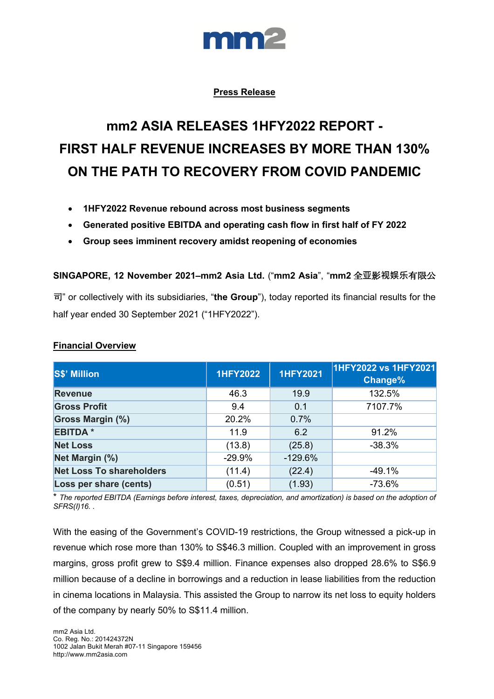

# **Press Release**

# **mm2 ASIA RELEASES 1HFY2022 REPORT - FIRST HALF REVENUE INCREASES BY MORE THAN 130% ON THE PATH TO RECOVERY FROM COVID PANDEMIC**

- **1HFY2022 Revenue rebound across most business segments**
- **Generated positive EBITDA and operating cash flow in first half of FY 2022**
- **Group sees imminent recovery amidst reopening of economies**

**SINGAPORE, 12 November 2021–mm2 Asia Ltd.** ("**mm2 Asia**", "**mm2** 全**亚**影**视娱乐**有限公

司" or collectively with its subsidiaries, "**the Group**"), today reported its financial results for the half year ended 30 September 2021 ("1HFY2022").

| <b>S\$' Million</b>             | <b>1HFY2022</b> | <b>1HFY2021</b> | 1HFY2022 vs 1HFY2021<br>Change% |
|---------------------------------|-----------------|-----------------|---------------------------------|
| <b>Revenue</b>                  | 46.3            | 19.9            | 132.5%                          |
| <b>Gross Profit</b>             | 9.4             | 0.1             | 7107.7%                         |
| <b>Gross Margin (%)</b>         | 20.2%           | 0.7%            |                                 |
| <b>EBITDA*</b>                  | 11.9            | 6.2             | 91.2%                           |
| <b>Net Loss</b>                 | (13.8)          | (25.8)          | $-38.3%$                        |
| Net Margin (%)                  | $-29.9%$        | $-129.6%$       |                                 |
| <b>Net Loss To shareholders</b> | (11.4)          | (22.4)          | $-49.1%$                        |
| Loss per share (cents)          | (0.51)          | (1.93)          | $-73.6%$                        |

#### **Financial Overview**

\* *The reported EBITDA (Earnings before interest, taxes, depreciation, and amortization) is based on the adoption of SFRS(I)16. .*

With the easing of the Government's COVID-19 restrictions, the Group witnessed a pick-up in revenue which rose more than 130% to S\$46.3 million. Coupled with an improvement in gross margins, gross profit grew to S\$9.4 million. Finance expenses also dropped 28.6% to S\$6.9 million because of a decline in borrowings and a reduction in lease liabilities from the reduction in cinema locations in Malaysia. This assisted the Group to narrow its net loss to equity holders of the company by nearly 50% to S\$11.4 million.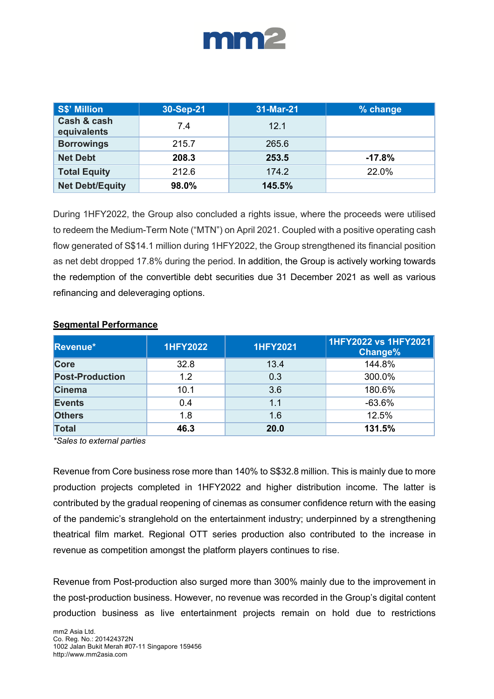

| <b>S\$' Million</b>        | 30-Sep-21 | 31-Mar-21 | % change |
|----------------------------|-----------|-----------|----------|
| Cash & cash<br>equivalents | 7.4       | 12.1      |          |
| <b>Borrowings</b>          | 215.7     | 265.6     |          |
| <b>Net Debt</b>            | 208.3     | 253.5     | $-17.8%$ |
| <b>Total Equity</b>        | 212.6     | 174.2     | 22.0%    |
| <b>Net Debt/Equity</b>     | 98.0%     | 145.5%    |          |

During 1HFY2022, the Group also concluded a rights issue, where the proceeds were utilised to redeem the Medium-Term Note ("MTN") on April 2021. Coupled with a positive operating cash flow generated of S\$14.1 million during 1HFY2022, the Group strengthened its financial position as net debt dropped 17.8% during the period. In addition, the Group is actively working towards the redemption of the convertible debt securities due 31 December 2021 as well as various refinancing and deleveraging options.

| Revenue*               | <b>1HFY2022</b> | <b>1HFY2021</b> | 1HFY2022 vs 1HFY2021<br>Change% |
|------------------------|-----------------|-----------------|---------------------------------|
| <b>Core</b>            | 32.8            | 13.4            | 144.8%                          |
| <b>Post-Production</b> | 1.2             | 0.3             | 300.0%                          |
| <b>Cinema</b>          | 10.1            | 3.6             | 180.6%                          |
| <b>Events</b>          | 0.4             | 1.1             | $-63.6%$                        |
| <b>Others</b>          | 1.8             | 1.6             | 12.5%                           |
| <b>Total</b>           | 46.3            | 20.0            | 131.5%                          |

# **Segmental Performance**

*\*Sales to external parties*

Revenue from Core business rose more than 140% to S\$32.8 million. This is mainly due to more production projects completed in 1HFY2022 and higher distribution income. The latter is contributed by the gradual reopening of cinemas as consumer confidence return with the easing of the pandemic's stranglehold on the entertainment industry; underpinned by a strengthening theatrical film market. Regional OTT series production also contributed to the increase in revenue as competition amongst the platform players continues to rise.

Revenue from Post-production also surged more than 300% mainly due to the improvement in the post-production business. However, no revenue was recorded in the Group's digital content production business as live entertainment projects remain on hold due to restrictions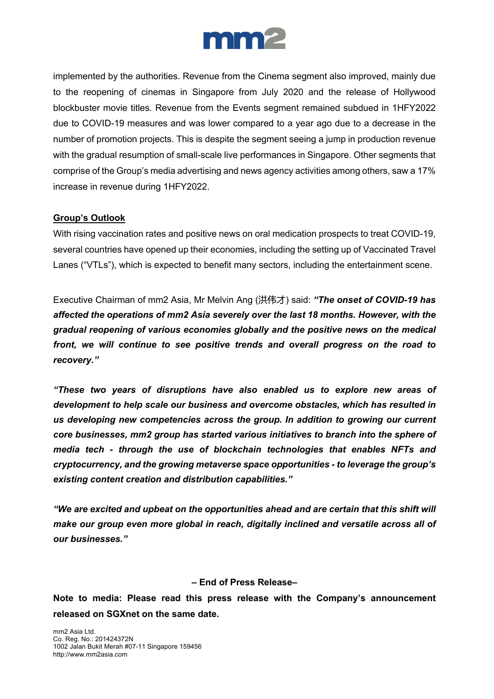

implemented by the authorities. Revenue from the Cinema segment also improved, mainly due to the reopening of cinemas in Singapore from July 2020 and the release of Hollywood blockbuster movie titles. Revenue from the Events segment remained subdued in 1HFY2022 due to COVID-19 measures and was lower compared to a year ago due to a decrease in the number of promotion projects. This is despite the segment seeing a jump in production revenue with the gradual resumption of small-scale live performances in Singapore. Other segments that comprise of the Group's media advertising and news agency activities among others, saw a 17% increase in revenue during 1HFY2022.

# **Group's Outlook**

With rising vaccination rates and positive news on oral medication prospects to treat COVID-19, several countries have opened up their economies, including the setting up of Vaccinated Travel Lanes ("VTLs"), which is expected to benefit many sectors, including the entertainment scene.

Executive Chairman of mm2 Asia, Mr Melvin Ang (洪伟才) said: *"The onset of COVID-19 has affected the operations of mm2 Asia severely over the last 18 months. However, with the gradual reopening of various economies globally and the positive news on the medical front, we will continue to see positive trends and overall progress on the road to recovery."* 

*"These two years of disruptions have also enabled us to explore new areas of development to help scale our business and overcome obstacles, which has resulted in us developing new competencies across the group. In addition to growing our current core businesses, mm2 group has started various initiatives to branch into the sphere of media tech - through the use of blockchain technologies that enables NFTs and cryptocurrency, and the growing metaverse space opportunities - to leverage the group's existing content creation and distribution capabilities."*

*"We are excited and upbeat on the opportunities ahead and are certain that this shift will make our group even more global in reach, digitally inclined and versatile across all of our businesses."*

#### **– End of Press Release–**

**Note to media: Please read this press release with the Company's announcement released on SGXnet on the same date.**